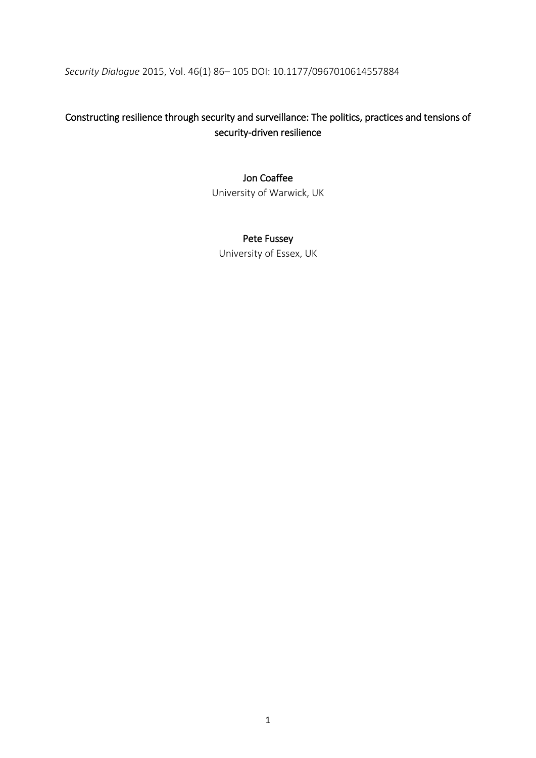*Security Dialogue* 2015, Vol. 46(1) 86– 105 DOI: 10.1177/0967010614557884

# Constructing resilience through security and surveillance: The politics, practices and tensions of security-driven resilience

# Jon Coaffee University of Warwick, UK

# Pete Fussey University of Essex, UK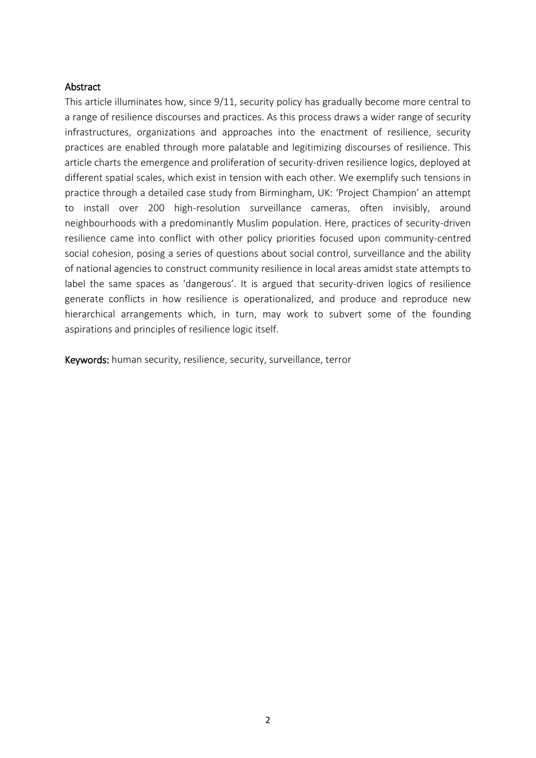### Abstract

This article illuminates how, since 9/11, security policy has gradually become more central to a range of resilience discourses and practices. As this process draws a wider range of security infrastructures, organizations and approaches into the enactment of resilience, security practices are enabled through more palatable and legitimizing discourses of resilience. This article charts the emergence and proliferation of security-driven resilience logics, deployed at different spatial scales, which exist in tension with each other. We exemplify such tensions in practice through a detailed case study from Birmingham, UK: 'Project Champion' an attempt to install over 200 high-resolution surveillance cameras, often invisibly, around neighbourhoods with a predominantly Muslim population. Here, practices of security-driven resilience came into conflict with other policy priorities focused upon community-centred social cohesion, posing a series of questions about social control, surveillance and the ability of national agencies to construct community resilience in local areas amidst state attempts to label the same spaces as 'dangerous'. It is argued that security-driven logics of resilience generate conflicts in how resilience is operationalized, and produce and reproduce new hierarchical arrangements which, in turn, may work to subvert some of the founding aspirations and principles of resilience logic itself.

Keywords: human security, resilience, security, surveillance, terror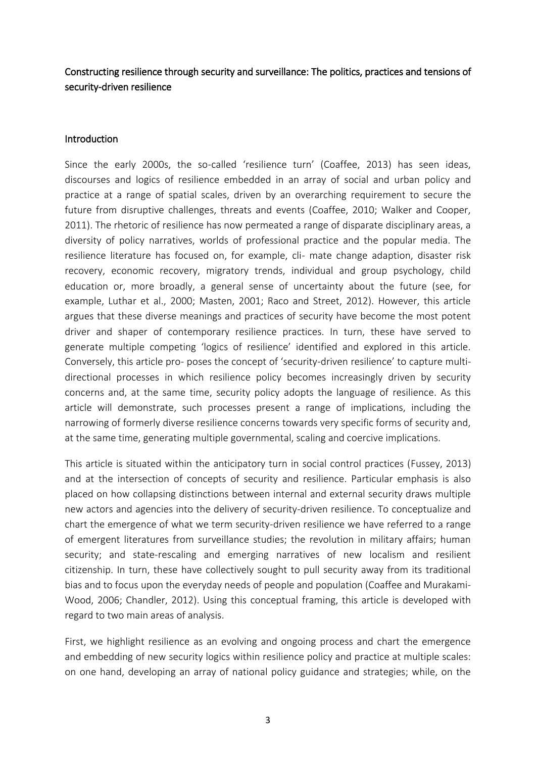# Constructing resilience through security and surveillance: The politics, practices and tensions of security-driven resilience

#### Introduction

Since the early 2000s, the so-called 'resilience turn' (Coaffee, 2013) has seen ideas, discourses and logics of resilience embedded in an array of social and urban policy and practice at a range of spatial scales, driven by an overarching requirement to secure the future from disruptive challenges, threats and events (Coaffee, 2010; Walker and Cooper, 2011). The rhetoric of resilience has now permeated a range of disparate disciplinary areas, a diversity of policy narratives, worlds of professional practice and the popular media. The resilience literature has focused on, for example, cli- mate change adaption, disaster risk recovery, economic recovery, migratory trends, individual and group psychology, child education or, more broadly, a general sense of uncertainty about the future (see, for example, Luthar et al., 2000; Masten, 2001; Raco and Street, 2012). However, this article argues that these diverse meanings and practices of security have become the most potent driver and shaper of contemporary resilience practices. In turn, these have served to generate multiple competing 'logics of resilience' identified and explored in this article. Conversely, this article pro- poses the concept of 'security-driven resilience' to capture multidirectional processes in which resilience policy becomes increasingly driven by security concerns and, at the same time, security policy adopts the language of resilience. As this article will demonstrate, such processes present a range of implications, including the narrowing of formerly diverse resilience concerns towards very specific forms of security and, at the same time, generating multiple governmental, scaling and coercive implications.

This article is situated within the anticipatory turn in social control practices (Fussey, 2013) and at the intersection of concepts of security and resilience. Particular emphasis is also placed on how collapsing distinctions between internal and external security draws multiple new actors and agencies into the delivery of security-driven resilience. To conceptualize and chart the emergence of what we term security-driven resilience we have referred to a range of emergent literatures from surveillance studies; the revolution in military affairs; human security; and state-rescaling and emerging narratives of new localism and resilient citizenship. In turn, these have collectively sought to pull security away from its traditional bias and to focus upon the everyday needs of people and population (Coaffee and Murakami-Wood, 2006; Chandler, 2012). Using this conceptual framing, this article is developed with regard to two main areas of analysis.

First, we highlight resilience as an evolving and ongoing process and chart the emergence and embedding of new security logics within resilience policy and practice at multiple scales: on one hand, developing an array of national policy guidance and strategies; while, on the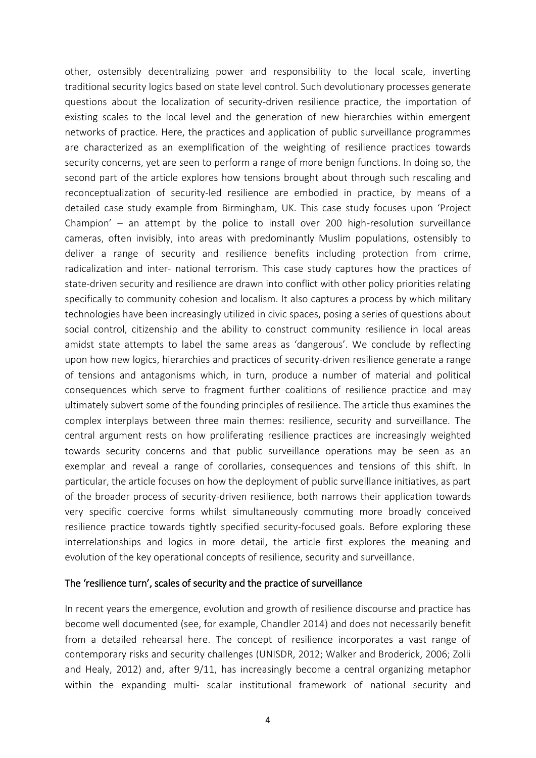other, ostensibly decentralizing power and responsibility to the local scale, inverting traditional security logics based on state level control. Such devolutionary processes generate questions about the localization of security-driven resilience practice, the importation of existing scales to the local level and the generation of new hierarchies within emergent networks of practice. Here, the practices and application of public surveillance programmes are characterized as an exemplification of the weighting of resilience practices towards security concerns, yet are seen to perform a range of more benign functions. In doing so, the second part of the article explores how tensions brought about through such rescaling and reconceptualization of security-led resilience are embodied in practice, by means of a detailed case study example from Birmingham, UK. This case study focuses upon 'Project Champion' – an attempt by the police to install over 200 high-resolution surveillance cameras, often invisibly, into areas with predominantly Muslim populations, ostensibly to deliver a range of security and resilience benefits including protection from crime, radicalization and inter- national terrorism. This case study captures how the practices of state-driven security and resilience are drawn into conflict with other policy priorities relating specifically to community cohesion and localism. It also captures a process by which military technologies have been increasingly utilized in civic spaces, posing a series of questions about social control, citizenship and the ability to construct community resilience in local areas amidst state attempts to label the same areas as 'dangerous'. We conclude by reflecting upon how new logics, hierarchies and practices of security-driven resilience generate a range of tensions and antagonisms which, in turn, produce a number of material and political consequences which serve to fragment further coalitions of resilience practice and may ultimately subvert some of the founding principles of resilience. The article thus examines the complex interplays between three main themes: resilience, security and surveillance. The central argument rests on how proliferating resilience practices are increasingly weighted towards security concerns and that public surveillance operations may be seen as an exemplar and reveal a range of corollaries, consequences and tensions of this shift. In particular, the article focuses on how the deployment of public surveillance initiatives, as part of the broader process of security-driven resilience, both narrows their application towards very specific coercive forms whilst simultaneously commuting more broadly conceived resilience practice towards tightly specified security-focused goals. Before exploring these interrelationships and logics in more detail, the article first explores the meaning and evolution of the key operational concepts of resilience, security and surveillance.

#### The 'resilience turn', scales of security and the practice of surveillance

In recent years the emergence, evolution and growth of resilience discourse and practice has become well documented (see, for example, Chandler 2014) and does not necessarily benefit from a detailed rehearsal here. The concept of resilience incorporates a vast range of contemporary risks and security challenges (UNISDR, 2012; Walker and Broderick, 2006; Zolli and Healy, 2012) and, after 9/11, has increasingly become a central organizing metaphor within the expanding multi- scalar institutional framework of national security and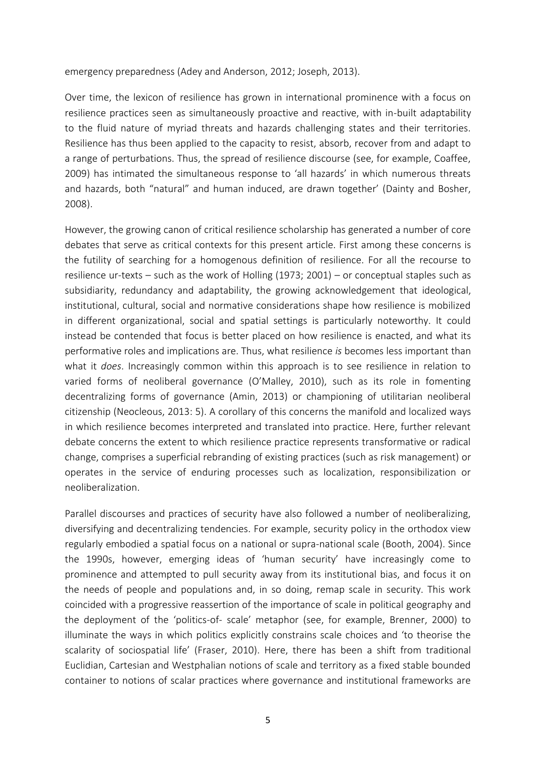emergency preparedness (Adey and Anderson, 2012; Joseph, 2013).

Over time, the lexicon of resilience has grown in international prominence with a focus on resilience practices seen as simultaneously proactive and reactive, with in-built adaptability to the fluid nature of myriad threats and hazards challenging states and their territories. Resilience has thus been applied to the capacity to resist, absorb, recover from and adapt to a range of perturbations. Thus, the spread of resilience discourse (see, for example, Coaffee, 2009) has intimated the simultaneous response to 'all hazards' in which numerous threats and hazards, both "natural" and human induced, are drawn together' (Dainty and Bosher, 2008).

However, the growing canon of critical resilience scholarship has generated a number of core debates that serve as critical contexts for this present article. First among these concerns is the futility of searching for a homogenous definition of resilience. For all the recourse to resilience ur-texts – such as the work of Holling (1973; 2001) – or conceptual staples such as subsidiarity, redundancy and adaptability, the growing acknowledgement that ideological, institutional, cultural, social and normative considerations shape how resilience is mobilized in different organizational, social and spatial settings is particularly noteworthy. It could instead be contended that focus is better placed on how resilience is enacted, and what its performative roles and implications are. Thus, what resilience *is* becomes less important than what it *does*. Increasingly common within this approach is to see resilience in relation to varied forms of neoliberal governance (O'Malley, 2010), such as its role in fomenting decentralizing forms of governance (Amin, 2013) or championing of utilitarian neoliberal citizenship (Neocleous, 2013: 5). A corollary of this concerns the manifold and localized ways in which resilience becomes interpreted and translated into practice. Here, further relevant debate concerns the extent to which resilience practice represents transformative or radical change, comprises a superficial rebranding of existing practices (such as risk management) or operates in the service of enduring processes such as localization, responsibilization or neoliberalization.

Parallel discourses and practices of security have also followed a number of neoliberalizing, diversifying and decentralizing tendencies. For example, security policy in the orthodox view regularly embodied a spatial focus on a national or supra-national scale (Booth, 2004). Since the 1990s, however, emerging ideas of 'human security' have increasingly come to prominence and attempted to pull security away from its institutional bias, and focus it on the needs of people and populations and, in so doing, remap scale in security. This work coincided with a progressive reassertion of the importance of scale in political geography and the deployment of the 'politics-of- scale' metaphor (see, for example, Brenner, 2000) to illuminate the ways in which politics explicitly constrains scale choices and 'to theorise the scalarity of sociospatial life' (Fraser, 2010). Here, there has been a shift from traditional Euclidian, Cartesian and Westphalian notions of scale and territory as a fixed stable bounded container to notions of scalar practices where governance and institutional frameworks are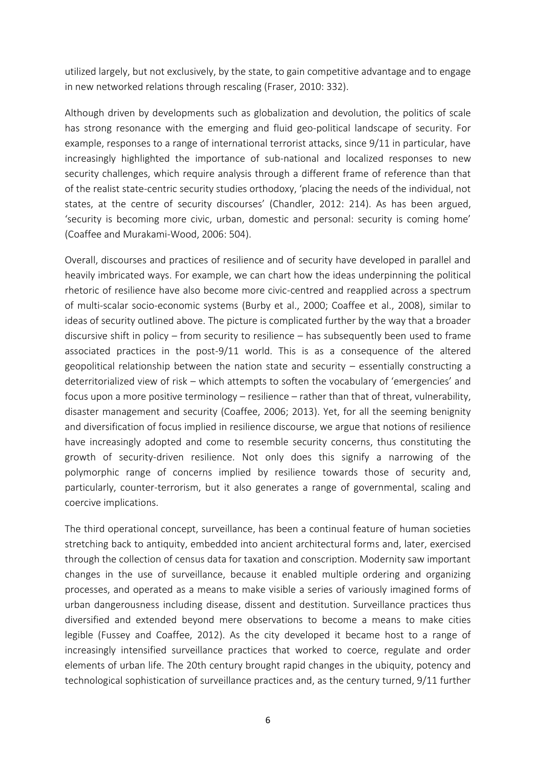utilized largely, but not exclusively, by the state, to gain competitive advantage and to engage in new networked relations through rescaling (Fraser, 2010: 332).

Although driven by developments such as globalization and devolution, the politics of scale has strong resonance with the emerging and fluid geo-political landscape of security. For example, responses to a range of international terrorist attacks, since 9/11 in particular, have increasingly highlighted the importance of sub-national and localized responses to new security challenges, which require analysis through a different frame of reference than that of the realist state-centric security studies orthodoxy, 'placing the needs of the individual, not states, at the centre of security discourses' (Chandler, 2012: 214). As has been argued, 'security is becoming more civic, urban, domestic and personal: security is coming home' (Coaffee and Murakami-Wood, 2006: 504).

Overall, discourses and practices of resilience and of security have developed in parallel and heavily imbricated ways. For example, we can chart how the ideas underpinning the political rhetoric of resilience have also become more civic-centred and reapplied across a spectrum of multi-scalar socio-economic systems (Burby et al., 2000; Coaffee et al., 2008), similar to ideas of security outlined above. The picture is complicated further by the way that a broader discursive shift in policy – from security to resilience – has subsequently been used to frame associated practices in the post-9/11 world. This is as a consequence of the altered geopolitical relationship between the nation state and security – essentially constructing a deterritorialized view of risk – which attempts to soften the vocabulary of 'emergencies' and focus upon a more positive terminology – resilience – rather than that of threat, vulnerability, disaster management and security (Coaffee, 2006; 2013). Yet, for all the seeming benignity and diversification of focus implied in resilience discourse, we argue that notions of resilience have increasingly adopted and come to resemble security concerns, thus constituting the growth of security-driven resilience. Not only does this signify a narrowing of the polymorphic range of concerns implied by resilience towards those of security and, particularly, counter-terrorism, but it also generates a range of governmental, scaling and coercive implications.

The third operational concept, surveillance, has been a continual feature of human societies stretching back to antiquity, embedded into ancient architectural forms and, later, exercised through the collection of census data for taxation and conscription. Modernity saw important changes in the use of surveillance, because it enabled multiple ordering and organizing processes, and operated as a means to make visible a series of variously imagined forms of urban dangerousness including disease, dissent and destitution. Surveillance practices thus diversified and extended beyond mere observations to become a means to make cities legible (Fussey and Coaffee, 2012). As the city developed it became host to a range of increasingly intensified surveillance practices that worked to coerce, regulate and order elements of urban life. The 20th century brought rapid changes in the ubiquity, potency and technological sophistication of surveillance practices and, as the century turned, 9/11 further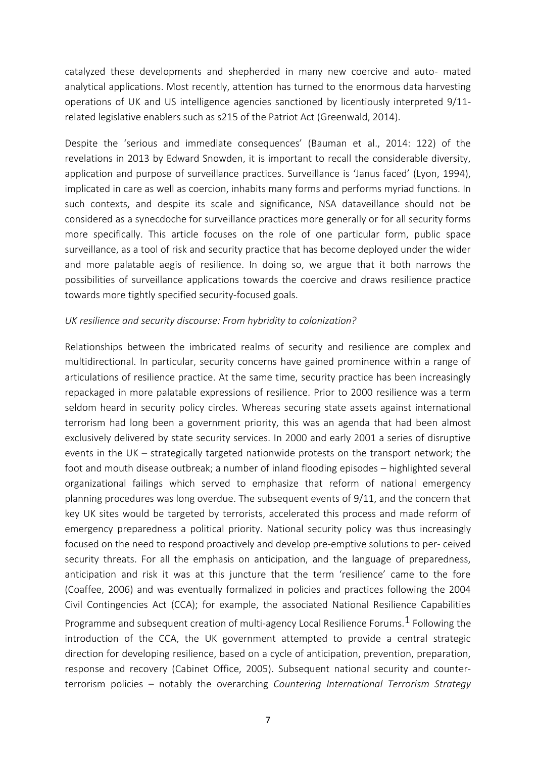catalyzed these developments and shepherded in many new coercive and auto- mated analytical applications. Most recently, attention has turned to the enormous data harvesting operations of UK and US intelligence agencies sanctioned by licentiously interpreted 9/11 related legislative enablers such as s215 of the Patriot Act (Greenwald, 2014).

Despite the 'serious and immediate consequences' (Bauman et al., 2014: 122) of the revelations in 2013 by Edward Snowden, it is important to recall the considerable diversity, application and purpose of surveillance practices. Surveillance is 'Janus faced' (Lyon, 1994), implicated in care as well as coercion, inhabits many forms and performs myriad functions. In such contexts, and despite its scale and significance, NSA dataveillance should not be considered as a synecdoche for surveillance practices more generally or for all security forms more specifically. This article focuses on the role of one particular form, public space surveillance, as a tool of risk and security practice that has become deployed under the wider and more palatable aegis of resilience. In doing so, we argue that it both narrows the possibilities of surveillance applications towards the coercive and draws resilience practice towards more tightly specified security-focused goals.

#### *UK resilience and security discourse: From hybridity to colonization?*

Relationships between the imbricated realms of security and resilience are complex and multidirectional. In particular, security concerns have gained prominence within a range of articulations of resilience practice. At the same time, security practice has been increasingly repackaged in more palatable expressions of resilience. Prior to 2000 resilience was a term seldom heard in security policy circles. Whereas securing state assets against international terrorism had long been a government priority, this was an agenda that had been almost exclusively delivered by state security services. In 2000 and early 2001 a series of disruptive events in the UK – strategically targeted nationwide protests on the transport network; the foot and mouth disease outbreak; a number of inland flooding episodes – highlighted several organizational failings which served to emphasize that reform of national emergency planning procedures was long overdue. The subsequent events of 9/11, and the concern that key UK sites would be targeted by terrorists, accelerated this process and made reform of emergency preparedness a political priority. National security policy was thus increasingly focused on the need to respond proactively and develop pre-emptive solutions to per- ceived security threats. For all the emphasis on anticipation, and the language of preparedness, anticipation and risk it was at this juncture that the term 'resilience' came to the fore (Coaffee, 2006) and was eventually formalized in policies and practices following the 2004 Civil Contingencies Act (CCA); for example, the associated National Resilience Capabilities Programme and subsequent creation of multi-agency Local Resilience Forums.<sup>1</sup> Following the introduction of the CCA, the UK government attempted to provide a central strategic direction for developing resilience, based on a cycle of anticipation, prevention, preparation, response and recovery (Cabinet Office, 2005). Subsequent national security and counterterrorism policies – notably the overarching *Countering International Terrorism Strategy*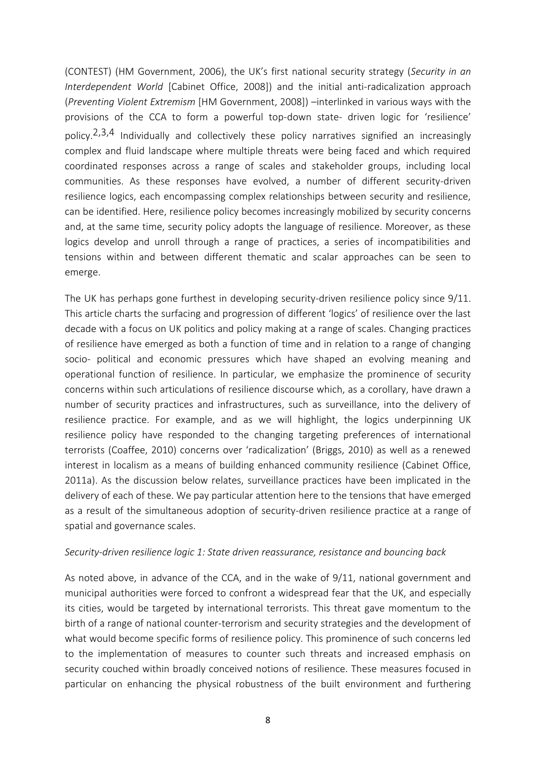(CONTEST) (HM Government, 2006), the UK's first national security strategy (*Security in an Interdependent World* [Cabinet Office, 2008]) and the initial anti-radicalization approach (*Preventing Violent Extremism* [HM Government, 2008]) –interlinked in various ways with the provisions of the CCA to form a powerful top-down state- driven logic for 'resilience' policy.2,3,4 Individually and collectively these policy narratives signified an increasingly complex and fluid landscape where multiple threats were being faced and which required coordinated responses across a range of scales and stakeholder groups, including local communities. As these responses have evolved, a number of different security-driven resilience logics, each encompassing complex relationships between security and resilience, can be identified. Here, resilience policy becomes increasingly mobilized by security concerns and, at the same time, security policy adopts the language of resilience. Moreover, as these logics develop and unroll through a range of practices, a series of incompatibilities and tensions within and between different thematic and scalar approaches can be seen to emerge.

The UK has perhaps gone furthest in developing security-driven resilience policy since 9/11. This article charts the surfacing and progression of different 'logics' of resilience over the last decade with a focus on UK politics and policy making at a range of scales. Changing practices of resilience have emerged as both a function of time and in relation to a range of changing socio- political and economic pressures which have shaped an evolving meaning and operational function of resilience. In particular, we emphasize the prominence of security concerns within such articulations of resilience discourse which, as a corollary, have drawn a number of security practices and infrastructures, such as surveillance, into the delivery of resilience practice. For example, and as we will highlight, the logics underpinning UK resilience policy have responded to the changing targeting preferences of international terrorists (Coaffee, 2010) concerns over 'radicalization' (Briggs, 2010) as well as a renewed interest in localism as a means of building enhanced community resilience (Cabinet Office, 2011a). As the discussion below relates, surveillance practices have been implicated in the delivery of each of these. We pay particular attention here to the tensions that have emerged as a result of the simultaneous adoption of security-driven resilience practice at a range of spatial and governance scales.

### *Security-driven resilience logic 1: State driven reassurance, resistance and bouncing back*

As noted above, in advance of the CCA, and in the wake of 9/11, national government and municipal authorities were forced to confront a widespread fear that the UK, and especially its cities, would be targeted by international terrorists. This threat gave momentum to the birth of a range of national counter-terrorism and security strategies and the development of what would become specific forms of resilience policy. This prominence of such concerns led to the implementation of measures to counter such threats and increased emphasis on security couched within broadly conceived notions of resilience. These measures focused in particular on enhancing the physical robustness of the built environment and furthering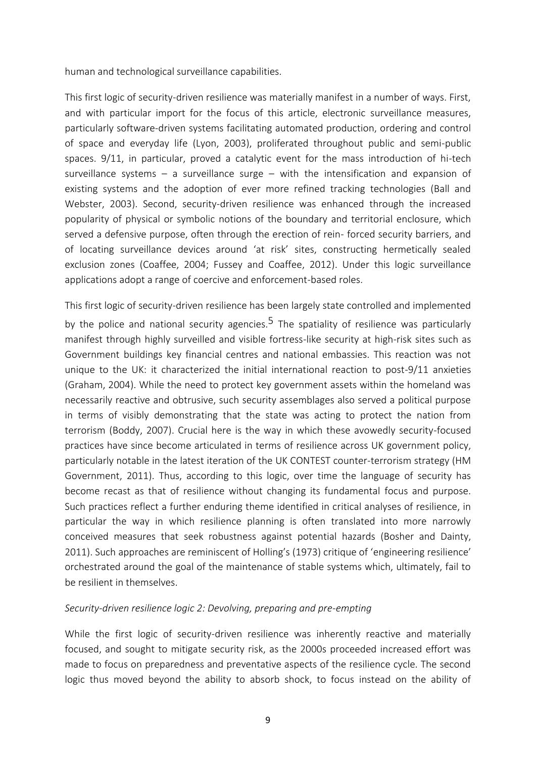human and technological surveillance capabilities.

This first logic of security-driven resilience was materially manifest in a number of ways. First, and with particular import for the focus of this article, electronic surveillance measures, particularly software-driven systems facilitating automated production, ordering and control of space and everyday life (Lyon, 2003), proliferated throughout public and semi-public spaces. 9/11, in particular, proved a catalytic event for the mass introduction of hi-tech surveillance systems – a surveillance surge – with the intensification and expansion of existing systems and the adoption of ever more refined tracking technologies (Ball and Webster, 2003). Second, security-driven resilience was enhanced through the increased popularity of physical or symbolic notions of the boundary and territorial enclosure, which served a defensive purpose, often through the erection of rein- forced security barriers, and of locating surveillance devices around 'at risk' sites, constructing hermetically sealed exclusion zones (Coaffee, 2004; Fussey and Coaffee, 2012). Under this logic surveillance applications adopt a range of coercive and enforcement-based roles.

This first logic of security-driven resilience has been largely state controlled and implemented by the police and national security agencies.<sup>5</sup> The spatiality of resilience was particularly manifest through highly surveilled and visible fortress-like security at high-risk sites such as Government buildings key financial centres and national embassies. This reaction was not unique to the UK: it characterized the initial international reaction to post-9/11 anxieties (Graham, 2004). While the need to protect key government assets within the homeland was necessarily reactive and obtrusive, such security assemblages also served a political purpose in terms of visibly demonstrating that the state was acting to protect the nation from terrorism (Boddy, 2007). Crucial here is the way in which these avowedly security-focused practices have since become articulated in terms of resilience across UK government policy, particularly notable in the latest iteration of the UK CONTEST counter-terrorism strategy (HM Government, 2011). Thus, according to this logic, over time the language of security has become recast as that of resilience without changing its fundamental focus and purpose. Such practices reflect a further enduring theme identified in critical analyses of resilience, in particular the way in which resilience planning is often translated into more narrowly conceived measures that seek robustness against potential hazards (Bosher and Dainty, 2011). Such approaches are reminiscent of Holling's (1973) critique of 'engineering resilience' orchestrated around the goal of the maintenance of stable systems which, ultimately, fail to be resilient in themselves.

### *Security-driven resilience logic 2: Devolving, preparing and pre-empting*

While the first logic of security-driven resilience was inherently reactive and materially focused, and sought to mitigate security risk, as the 2000s proceeded increased effort was made to focus on preparedness and preventative aspects of the resilience cycle. The second logic thus moved beyond the ability to absorb shock, to focus instead on the ability of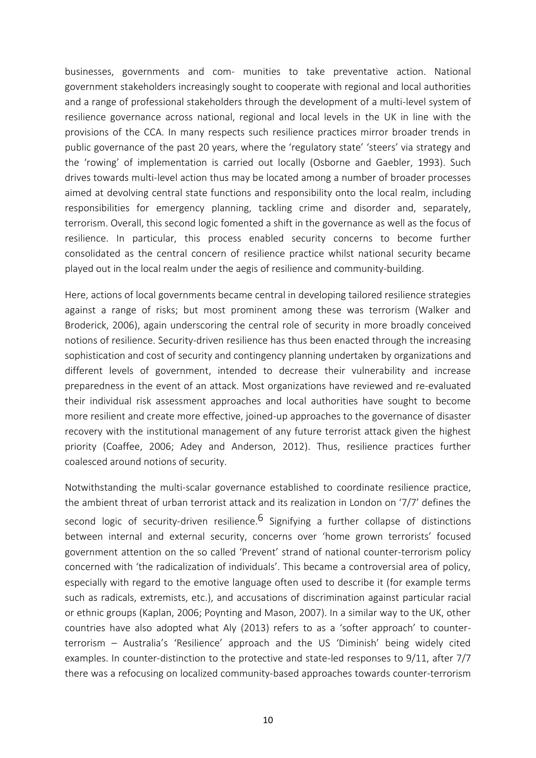businesses, governments and com- munities to take preventative action. National government stakeholders increasingly sought to cooperate with regional and local authorities and a range of professional stakeholders through the development of a multi-level system of resilience governance across national, regional and local levels in the UK in line with the provisions of the CCA. In many respects such resilience practices mirror broader trends in public governance of the past 20 years, where the 'regulatory state' 'steers' via strategy and the 'rowing' of implementation is carried out locally (Osborne and Gaebler, 1993). Such drives towards multi-level action thus may be located among a number of broader processes aimed at devolving central state functions and responsibility onto the local realm, including responsibilities for emergency planning, tackling crime and disorder and, separately, terrorism. Overall, this second logic fomented a shift in the governance as well as the focus of resilience. In particular, this process enabled security concerns to become further consolidated as the central concern of resilience practice whilst national security became played out in the local realm under the aegis of resilience and community-building.

Here, actions of local governments became central in developing tailored resilience strategies against a range of risks; but most prominent among these was terrorism (Walker and Broderick, 2006), again underscoring the central role of security in more broadly conceived notions of resilience. Security-driven resilience has thus been enacted through the increasing sophistication and cost of security and contingency planning undertaken by organizations and different levels of government, intended to decrease their vulnerability and increase preparedness in the event of an attack. Most organizations have reviewed and re-evaluated their individual risk assessment approaches and local authorities have sought to become more resilient and create more effective, joined-up approaches to the governance of disaster recovery with the institutional management of any future terrorist attack given the highest priority (Coaffee, 2006; Adey and Anderson, 2012). Thus, resilience practices further coalesced around notions of security.

Notwithstanding the multi-scalar governance established to coordinate resilience practice, the ambient threat of urban terrorist attack and its realization in London on '7/7' defines the second logic of security-driven resilience.  $6$  Signifying a further collapse of distinctions between internal and external security, concerns over 'home grown terrorists' focused government attention on the so called 'Prevent' strand of national counter-terrorism policy concerned with 'the radicalization of individuals'. This became a controversial area of policy, especially with regard to the emotive language often used to describe it (for example terms such as radicals, extremists, etc.), and accusations of discrimination against particular racial or ethnic groups (Kaplan, 2006; Poynting and Mason, 2007). In a similar way to the UK, other countries have also adopted what Aly (2013) refers to as a 'softer approach' to counterterrorism – Australia's 'Resilience' approach and the US 'Diminish' being widely cited examples. In counter-distinction to the protective and state-led responses to 9/11, after 7/7 there was a refocusing on localized community-based approaches towards counter-terrorism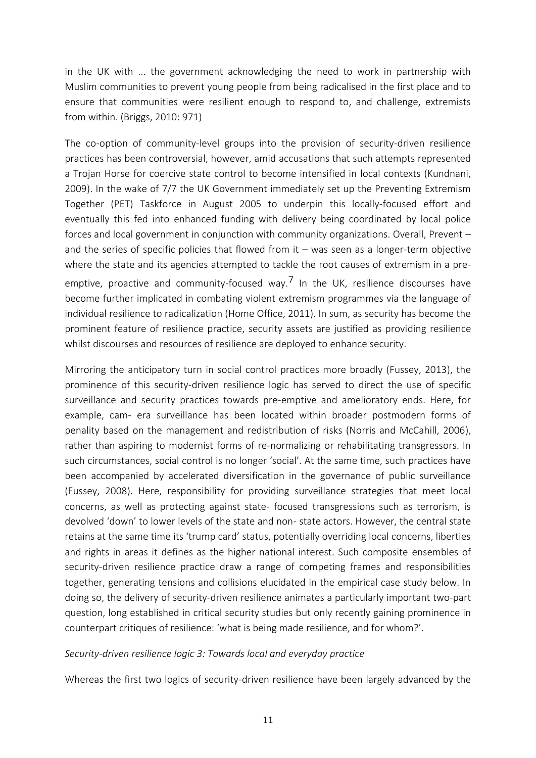in the UK with ... the government acknowledging the need to work in partnership with Muslim communities to prevent young people from being radicalised in the first place and to ensure that communities were resilient enough to respond to, and challenge, extremists from within. (Briggs, 2010: 971)

The co-option of community-level groups into the provision of security-driven resilience practices has been controversial, however, amid accusations that such attempts represented a Trojan Horse for coercive state control to become intensified in local contexts (Kundnani, 2009). In the wake of 7/7 the UK Government immediately set up the Preventing Extremism Together (PET) Taskforce in August 2005 to underpin this locally-focused effort and eventually this fed into enhanced funding with delivery being coordinated by local police forces and local government in conjunction with community organizations. Overall, Prevent – and the series of specific policies that flowed from it – was seen as a longer-term objective where the state and its agencies attempted to tackle the root causes of extremism in a preemptive, proactive and community-focused way.<sup>7</sup> In the UK, resilience discourses have become further implicated in combating violent extremism programmes via the language of individual resilience to radicalization (Home Office, 2011). In sum, as security has become the prominent feature of resilience practice, security assets are justified as providing resilience whilst discourses and resources of resilience are deployed to enhance security.

Mirroring the anticipatory turn in social control practices more broadly (Fussey, 2013), the prominence of this security-driven resilience logic has served to direct the use of specific surveillance and security practices towards pre-emptive and amelioratory ends. Here, for example, cam- era surveillance has been located within broader postmodern forms of penality based on the management and redistribution of risks (Norris and McCahill, 2006), rather than aspiring to modernist forms of re-normalizing or rehabilitating transgressors. In such circumstances, social control is no longer 'social'. At the same time, such practices have been accompanied by accelerated diversification in the governance of public surveillance (Fussey, 2008). Here, responsibility for providing surveillance strategies that meet local concerns, as well as protecting against state- focused transgressions such as terrorism, is devolved 'down' to lower levels of the state and non- state actors. However, the central state retains at the same time its 'trump card' status, potentially overriding local concerns, liberties and rights in areas it defines as the higher national interest. Such composite ensembles of security-driven resilience practice draw a range of competing frames and responsibilities together, generating tensions and collisions elucidated in the empirical case study below. In doing so, the delivery of security-driven resilience animates a particularly important two-part question, long established in critical security studies but only recently gaining prominence in counterpart critiques of resilience: 'what is being made resilience, and for whom?'.

#### *Security-driven resilience logic 3: Towards local and everyday practice*

Whereas the first two logics of security-driven resilience have been largely advanced by the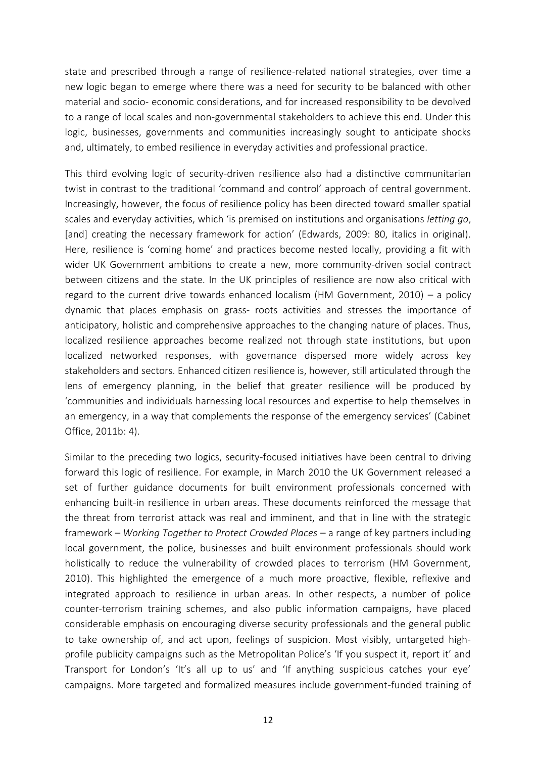state and prescribed through a range of resilience-related national strategies, over time a new logic began to emerge where there was a need for security to be balanced with other material and socio- economic considerations, and for increased responsibility to be devolved to a range of local scales and non-governmental stakeholders to achieve this end. Under this logic, businesses, governments and communities increasingly sought to anticipate shocks and, ultimately, to embed resilience in everyday activities and professional practice.

This third evolving logic of security-driven resilience also had a distinctive communitarian twist in contrast to the traditional 'command and control' approach of central government. Increasingly, however, the focus of resilience policy has been directed toward smaller spatial scales and everyday activities, which 'is premised on institutions and organisations *letting go*, [and] creating the necessary framework for action' (Edwards, 2009: 80, italics in original). Here, resilience is 'coming home' and practices become nested locally, providing a fit with wider UK Government ambitions to create a new, more community-driven social contract between citizens and the state. In the UK principles of resilience are now also critical with regard to the current drive towards enhanced localism (HM Government, 2010) – a policy dynamic that places emphasis on grass- roots activities and stresses the importance of anticipatory, holistic and comprehensive approaches to the changing nature of places. Thus, localized resilience approaches become realized not through state institutions, but upon localized networked responses, with governance dispersed more widely across key stakeholders and sectors. Enhanced citizen resilience is, however, still articulated through the lens of emergency planning, in the belief that greater resilience will be produced by 'communities and individuals harnessing local resources and expertise to help themselves in an emergency, in a way that complements the response of the emergency services' (Cabinet Office, 2011b: 4).

Similar to the preceding two logics, security-focused initiatives have been central to driving forward this logic of resilience. For example, in March 2010 the UK Government released a set of further guidance documents for built environment professionals concerned with enhancing built-in resilience in urban areas. These documents reinforced the message that the threat from terrorist attack was real and imminent, and that in line with the strategic framework – *Working Together to Protect Crowded Places* – a range of key partners including local government, the police, businesses and built environment professionals should work holistically to reduce the vulnerability of crowded places to terrorism (HM Government, 2010). This highlighted the emergence of a much more proactive, flexible, reflexive and integrated approach to resilience in urban areas. In other respects, a number of police counter-terrorism training schemes, and also public information campaigns, have placed considerable emphasis on encouraging diverse security professionals and the general public to take ownership of, and act upon, feelings of suspicion. Most visibly, untargeted highprofile publicity campaigns such as the Metropolitan Police's 'If you suspect it, report it' and Transport for London's 'It's all up to us' and 'If anything suspicious catches your eye' campaigns. More targeted and formalized measures include government-funded training of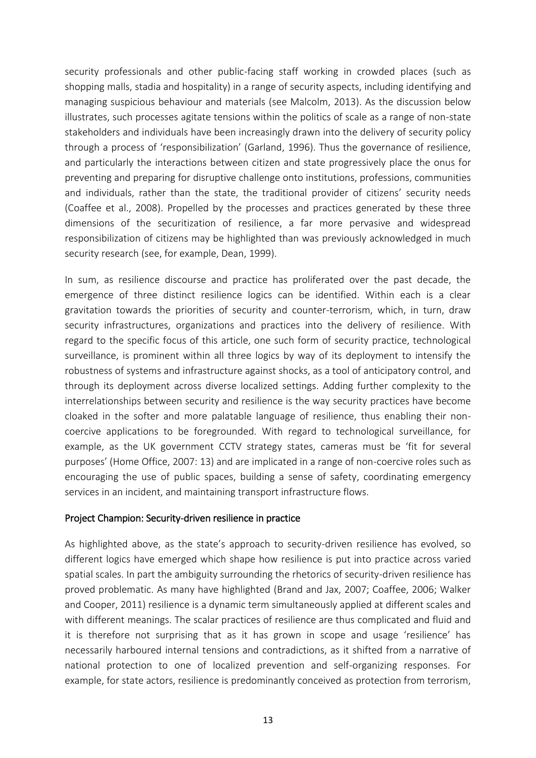security professionals and other public-facing staff working in crowded places (such as shopping malls, stadia and hospitality) in a range of security aspects, including identifying and managing suspicious behaviour and materials (see Malcolm, 2013). As the discussion below illustrates, such processes agitate tensions within the politics of scale as a range of non-state stakeholders and individuals have been increasingly drawn into the delivery of security policy through a process of 'responsibilization' (Garland, 1996). Thus the governance of resilience, and particularly the interactions between citizen and state progressively place the onus for preventing and preparing for disruptive challenge onto institutions, professions, communities and individuals, rather than the state, the traditional provider of citizens' security needs (Coaffee et al., 2008). Propelled by the processes and practices generated by these three dimensions of the securitization of resilience, a far more pervasive and widespread responsibilization of citizens may be highlighted than was previously acknowledged in much security research (see, for example, Dean, 1999).

In sum, as resilience discourse and practice has proliferated over the past decade, the emergence of three distinct resilience logics can be identified. Within each is a clear gravitation towards the priorities of security and counter-terrorism, which, in turn, draw security infrastructures, organizations and practices into the delivery of resilience. With regard to the specific focus of this article, one such form of security practice, technological surveillance, is prominent within all three logics by way of its deployment to intensify the robustness of systems and infrastructure against shocks, as a tool of anticipatory control, and through its deployment across diverse localized settings. Adding further complexity to the interrelationships between security and resilience is the way security practices have become cloaked in the softer and more palatable language of resilience, thus enabling their noncoercive applications to be foregrounded. With regard to technological surveillance, for example, as the UK government CCTV strategy states, cameras must be 'fit for several purposes' (Home Office, 2007: 13) and are implicated in a range of non-coercive roles such as encouraging the use of public spaces, building a sense of safety, coordinating emergency services in an incident, and maintaining transport infrastructure flows.

## Project Champion: Security-driven resilience in practice

As highlighted above, as the state's approach to security-driven resilience has evolved, so different logics have emerged which shape how resilience is put into practice across varied spatial scales. In part the ambiguity surrounding the rhetorics of security-driven resilience has proved problematic. As many have highlighted (Brand and Jax, 2007; Coaffee, 2006; Walker and Cooper, 2011) resilience is a dynamic term simultaneously applied at different scales and with different meanings. The scalar practices of resilience are thus complicated and fluid and it is therefore not surprising that as it has grown in scope and usage 'resilience' has necessarily harboured internal tensions and contradictions, as it shifted from a narrative of national protection to one of localized prevention and self-organizing responses. For example, for state actors, resilience is predominantly conceived as protection from terrorism,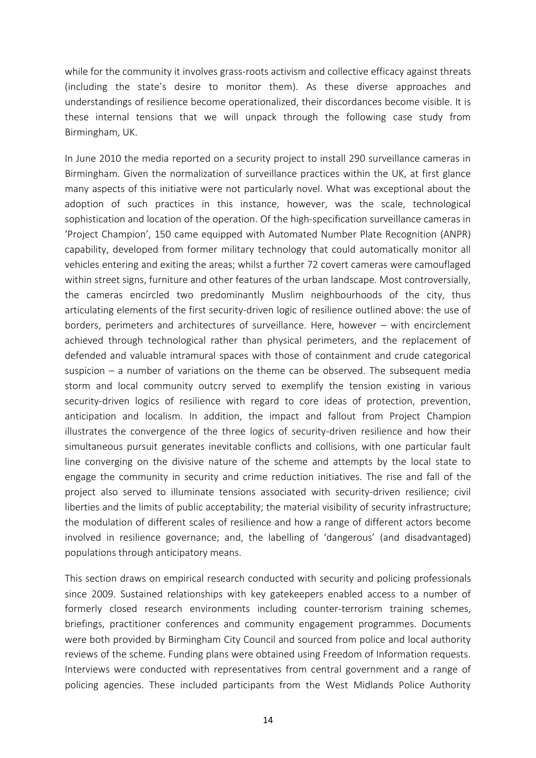while for the community it involves grass-roots activism and collective efficacy against threats (including the state's desire to monitor them). As these diverse approaches and understandings of resilience become operationalized, their discordances become visible. It is these internal tensions that we will unpack through the following case study from Birmingham, UK.

In June 2010 the media reported on a security project to install 290 surveillance cameras in Birmingham. Given the normalization of surveillance practices within the UK, at first glance many aspects of this initiative were not particularly novel. What was exceptional about the adoption of such practices in this instance, however, was the scale, technological sophistication and location of the operation. Of the high-specification surveillance cameras in 'Project Champion', 150 came equipped with Automated Number Plate Recognition (ANPR) capability, developed from former military technology that could automatically monitor all vehicles entering and exiting the areas; whilst a further 72 covert cameras were camouflaged within street signs, furniture and other features of the urban landscape. Most controversially, the cameras encircled two predominantly Muslim neighbourhoods of the city, thus articulating elements of the first security-driven logic of resilience outlined above: the use of borders, perimeters and architectures of surveillance. Here, however – with encirclement achieved through technological rather than physical perimeters, and the replacement of defended and valuable intramural spaces with those of containment and crude categorical suspicion – a number of variations on the theme can be observed. The subsequent media storm and local community outcry served to exemplify the tension existing in various security-driven logics of resilience with regard to core ideas of protection, prevention, anticipation and localism. In addition, the impact and fallout from Project Champion illustrates the convergence of the three logics of security-driven resilience and how their simultaneous pursuit generates inevitable conflicts and collisions, with one particular fault line converging on the divisive nature of the scheme and attempts by the local state to engage the community in security and crime reduction initiatives. The rise and fall of the project also served to illuminate tensions associated with security-driven resilience; civil liberties and the limits of public acceptability; the material visibility of security infrastructure; the modulation of different scales of resilience and how a range of different actors become involved in resilience governance; and, the labelling of 'dangerous' (and disadvantaged) populations through anticipatory means.

This section draws on empirical research conducted with security and policing professionals since 2009. Sustained relationships with key gatekeepers enabled access to a number of formerly closed research environments including counter-terrorism training schemes, briefings, practitioner conferences and community engagement programmes. Documents were both provided by Birmingham City Council and sourced from police and local authority reviews of the scheme. Funding plans were obtained using Freedom of Information requests. Interviews were conducted with representatives from central government and a range of policing agencies. These included participants from the West Midlands Police Authority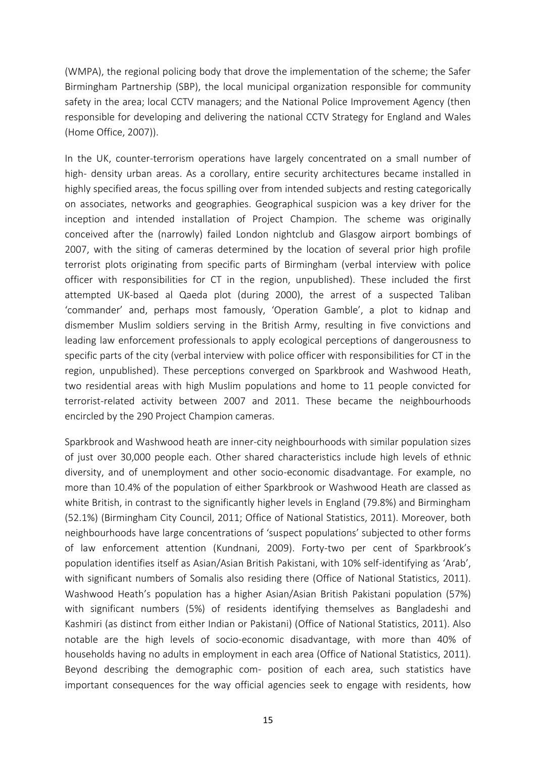(WMPA), the regional policing body that drove the implementation of the scheme; the Safer Birmingham Partnership (SBP), the local municipal organization responsible for community safety in the area; local CCTV managers; and the National Police Improvement Agency (then responsible for developing and delivering the national CCTV Strategy for England and Wales (Home Office, 2007)).

In the UK, counter-terrorism operations have largely concentrated on a small number of high- density urban areas. As a corollary, entire security architectures became installed in highly specified areas, the focus spilling over from intended subjects and resting categorically on associates, networks and geographies. Geographical suspicion was a key driver for the inception and intended installation of Project Champion. The scheme was originally conceived after the (narrowly) failed London nightclub and Glasgow airport bombings of 2007, with the siting of cameras determined by the location of several prior high profile terrorist plots originating from specific parts of Birmingham (verbal interview with police officer with responsibilities for CT in the region, unpublished). These included the first attempted UK-based al Qaeda plot (during 2000), the arrest of a suspected Taliban 'commander' and, perhaps most famously, 'Operation Gamble', a plot to kidnap and dismember Muslim soldiers serving in the British Army, resulting in five convictions and leading law enforcement professionals to apply ecological perceptions of dangerousness to specific parts of the city (verbal interview with police officer with responsibilities for CT in the region, unpublished). These perceptions converged on Sparkbrook and Washwood Heath, two residential areas with high Muslim populations and home to 11 people convicted for terrorist-related activity between 2007 and 2011. These became the neighbourhoods encircled by the 290 Project Champion cameras.

Sparkbrook and Washwood heath are inner-city neighbourhoods with similar population sizes of just over 30,000 people each. Other shared characteristics include high levels of ethnic diversity, and of unemployment and other socio-economic disadvantage. For example, no more than 10.4% of the population of either Sparkbrook or Washwood Heath are classed as white British, in contrast to the significantly higher levels in England (79.8%) and Birmingham (52.1%) (Birmingham City Council, 2011; Office of National Statistics, 2011). Moreover, both neighbourhoods have large concentrations of 'suspect populations' subjected to other forms of law enforcement attention (Kundnani, 2009). Forty-two per cent of Sparkbrook's population identifies itself as Asian/Asian British Pakistani, with 10% self-identifying as 'Arab', with significant numbers of Somalis also residing there (Office of National Statistics, 2011). Washwood Heath's population has a higher Asian/Asian British Pakistani population (57%) with significant numbers (5%) of residents identifying themselves as Bangladeshi and Kashmiri (as distinct from either Indian or Pakistani) (Office of National Statistics, 2011). Also notable are the high levels of socio-economic disadvantage, with more than 40% of households having no adults in employment in each area (Office of National Statistics, 2011). Beyond describing the demographic com- position of each area, such statistics have important consequences for the way official agencies seek to engage with residents, how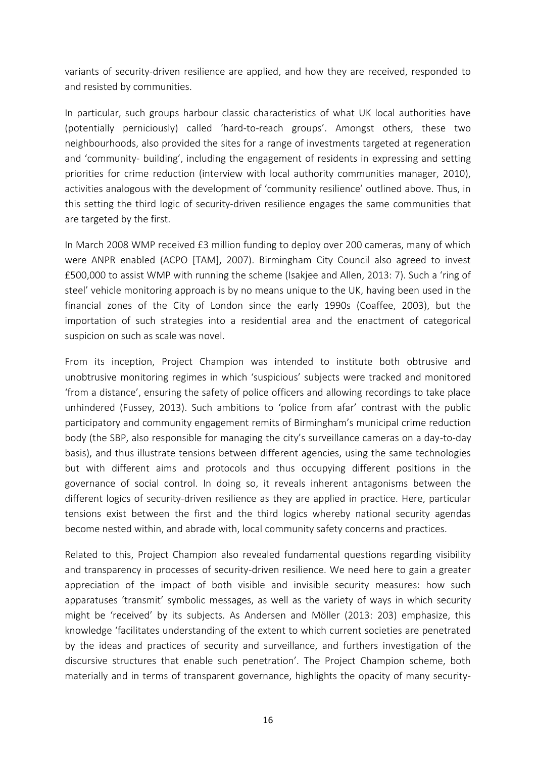variants of security-driven resilience are applied, and how they are received, responded to and resisted by communities.

In particular, such groups harbour classic characteristics of what UK local authorities have (potentially perniciously) called 'hard-to-reach groups'. Amongst others, these two neighbourhoods, also provided the sites for a range of investments targeted at regeneration and 'community- building', including the engagement of residents in expressing and setting priorities for crime reduction (interview with local authority communities manager, 2010), activities analogous with the development of 'community resilience' outlined above. Thus, in this setting the third logic of security-driven resilience engages the same communities that are targeted by the first.

In March 2008 WMP received £3 million funding to deploy over 200 cameras, many of which were ANPR enabled (ACPO [TAM], 2007). Birmingham City Council also agreed to invest £500,000 to assist WMP with running the scheme (Isakjee and Allen, 2013: 7). Such a 'ring of steel' vehicle monitoring approach is by no means unique to the UK, having been used in the financial zones of the City of London since the early 1990s (Coaffee, 2003), but the importation of such strategies into a residential area and the enactment of categorical suspicion on such as scale was novel.

From its inception, Project Champion was intended to institute both obtrusive and unobtrusive monitoring regimes in which 'suspicious' subjects were tracked and monitored 'from a distance', ensuring the safety of police officers and allowing recordings to take place unhindered (Fussey, 2013). Such ambitions to 'police from afar' contrast with the public participatory and community engagement remits of Birmingham's municipal crime reduction body (the SBP, also responsible for managing the city's surveillance cameras on a day-to-day basis), and thus illustrate tensions between different agencies, using the same technologies but with different aims and protocols and thus occupying different positions in the governance of social control. In doing so, it reveals inherent antagonisms between the different logics of security-driven resilience as they are applied in practice. Here, particular tensions exist between the first and the third logics whereby national security agendas become nested within, and abrade with, local community safety concerns and practices.

Related to this, Project Champion also revealed fundamental questions regarding visibility and transparency in processes of security-driven resilience. We need here to gain a greater appreciation of the impact of both visible and invisible security measures: how such apparatuses 'transmit' symbolic messages, as well as the variety of ways in which security might be 'received' by its subjects. As Andersen and Möller (2013: 203) emphasize, this knowledge 'facilitates understanding of the extent to which current societies are penetrated by the ideas and practices of security and surveillance, and furthers investigation of the discursive structures that enable such penetration'. The Project Champion scheme, both materially and in terms of transparent governance, highlights the opacity of many security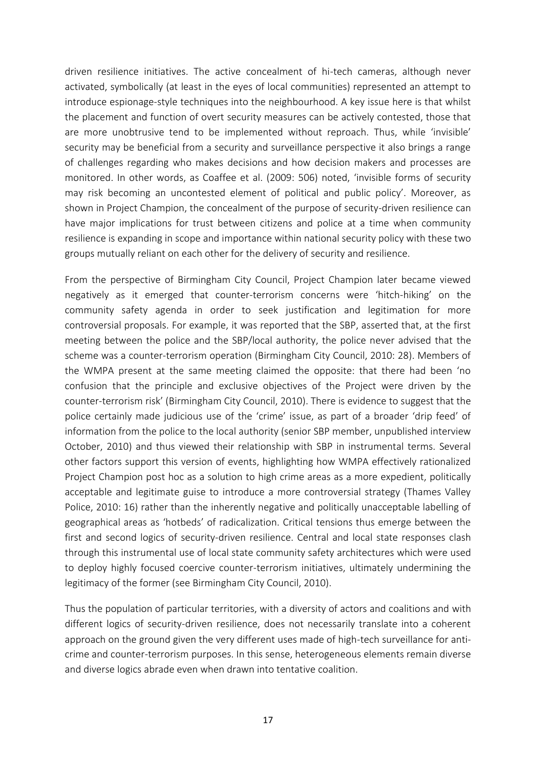driven resilience initiatives. The active concealment of hi-tech cameras, although never activated, symbolically (at least in the eyes of local communities) represented an attempt to introduce espionage-style techniques into the neighbourhood. A key issue here is that whilst the placement and function of overt security measures can be actively contested, those that are more unobtrusive tend to be implemented without reproach. Thus, while 'invisible' security may be beneficial from a security and surveillance perspective it also brings a range of challenges regarding who makes decisions and how decision makers and processes are monitored. In other words, as Coaffee et al. (2009: 506) noted, 'invisible forms of security may risk becoming an uncontested element of political and public policy'. Moreover, as shown in Project Champion, the concealment of the purpose of security-driven resilience can have major implications for trust between citizens and police at a time when community resilience is expanding in scope and importance within national security policy with these two groups mutually reliant on each other for the delivery of security and resilience.

From the perspective of Birmingham City Council, Project Champion later became viewed negatively as it emerged that counter-terrorism concerns were 'hitch-hiking' on the community safety agenda in order to seek justification and legitimation for more controversial proposals. For example, it was reported that the SBP, asserted that, at the first meeting between the police and the SBP/local authority, the police never advised that the scheme was a counter-terrorism operation (Birmingham City Council, 2010: 28). Members of the WMPA present at the same meeting claimed the opposite: that there had been 'no confusion that the principle and exclusive objectives of the Project were driven by the counter-terrorism risk' (Birmingham City Council, 2010). There is evidence to suggest that the police certainly made judicious use of the 'crime' issue, as part of a broader 'drip feed' of information from the police to the local authority (senior SBP member, unpublished interview October, 2010) and thus viewed their relationship with SBP in instrumental terms. Several other factors support this version of events, highlighting how WMPA effectively rationalized Project Champion post hoc as a solution to high crime areas as a more expedient, politically acceptable and legitimate guise to introduce a more controversial strategy (Thames Valley Police, 2010: 16) rather than the inherently negative and politically unacceptable labelling of geographical areas as 'hotbeds' of radicalization. Critical tensions thus emerge between the first and second logics of security-driven resilience. Central and local state responses clash through this instrumental use of local state community safety architectures which were used to deploy highly focused coercive counter-terrorism initiatives, ultimately undermining the legitimacy of the former (see Birmingham City Council, 2010).

Thus the population of particular territories, with a diversity of actors and coalitions and with different logics of security-driven resilience, does not necessarily translate into a coherent approach on the ground given the very different uses made of high-tech surveillance for anticrime and counter-terrorism purposes. In this sense, heterogeneous elements remain diverse and diverse logics abrade even when drawn into tentative coalition.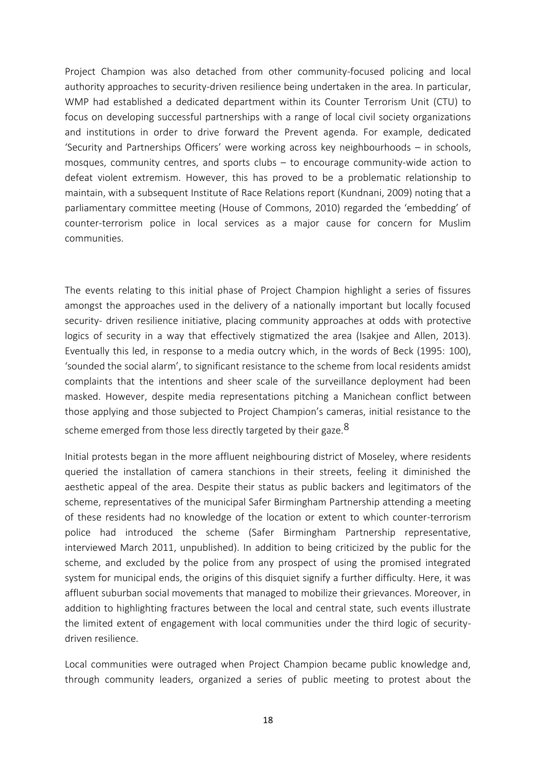Project Champion was also detached from other community-focused policing and local authority approaches to security-driven resilience being undertaken in the area. In particular, WMP had established a dedicated department within its Counter Terrorism Unit (CTU) to focus on developing successful partnerships with a range of local civil society organizations and institutions in order to drive forward the Prevent agenda. For example, dedicated 'Security and Partnerships Officers' were working across key neighbourhoods – in schools, mosques, community centres, and sports clubs – to encourage community-wide action to defeat violent extremism. However, this has proved to be a problematic relationship to maintain, with a subsequent Institute of Race Relations report (Kundnani, 2009) noting that a parliamentary committee meeting (House of Commons, 2010) regarded the 'embedding' of counter-terrorism police in local services as a major cause for concern for Muslim communities.

The events relating to this initial phase of Project Champion highlight a series of fissures amongst the approaches used in the delivery of a nationally important but locally focused security- driven resilience initiative, placing community approaches at odds with protective logics of security in a way that effectively stigmatized the area (Isakjee and Allen, 2013). Eventually this led, in response to a media outcry which, in the words of Beck (1995: 100), 'sounded the social alarm', to significant resistance to the scheme from local residents amidst complaints that the intentions and sheer scale of the surveillance deployment had been masked. However, despite media representations pitching a Manichean conflict between those applying and those subjected to Project Champion's cameras, initial resistance to the scheme emerged from those less directly targeted by their gaze.<sup>8</sup>

Initial protests began in the more affluent neighbouring district of Moseley, where residents queried the installation of camera stanchions in their streets, feeling it diminished the aesthetic appeal of the area. Despite their status as public backers and legitimators of the scheme, representatives of the municipal Safer Birmingham Partnership attending a meeting of these residents had no knowledge of the location or extent to which counter-terrorism police had introduced the scheme (Safer Birmingham Partnership representative, interviewed March 2011, unpublished). In addition to being criticized by the public for the scheme, and excluded by the police from any prospect of using the promised integrated system for municipal ends, the origins of this disquiet signify a further difficulty. Here, it was affluent suburban social movements that managed to mobilize their grievances. Moreover, in addition to highlighting fractures between the local and central state, such events illustrate the limited extent of engagement with local communities under the third logic of securitydriven resilience.

Local communities were outraged when Project Champion became public knowledge and, through community leaders, organized a series of public meeting to protest about the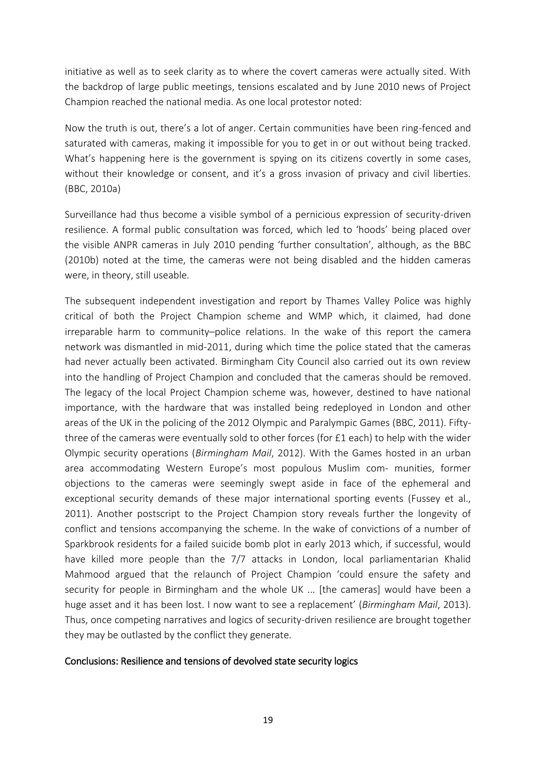initiative as well as to seek clarity as to where the covert cameras were actually sited. With the backdrop of large public meetings, tensions escalated and by June 2010 news of Project Champion reached the national media. As one local protestor noted:

Now the truth is out, there's a lot of anger. Certain communities have been ring-fenced and saturated with cameras, making it impossible for you to get in or out without being tracked. What's happening here is the government is spying on its citizens covertly in some cases, without their knowledge or consent, and it's a gross invasion of privacy and civil liberties. (BBC, 2010a)

Surveillance had thus become a visible symbol of a pernicious expression of security-driven resilience. A formal public consultation was forced, which led to 'hoods' being placed over the visible ANPR cameras in July 2010 pending 'further consultation', although, as the BBC (2010b) noted at the time, the cameras were not being disabled and the hidden cameras were, in theory, still useable.

The subsequent independent investigation and report by Thames Valley Police was highly critical of both the Project Champion scheme and WMP which, it claimed, had done irreparable harm to community–police relations. In the wake of this report the camera network was dismantled in mid-2011, during which time the police stated that the cameras had never actually been activated. Birmingham City Council also carried out its own review into the handling of Project Champion and concluded that the cameras should be removed. The legacy of the local Project Champion scheme was, however, destined to have national importance, with the hardware that was installed being redeployed in London and other areas of the UK in the policing of the 2012 Olympic and Paralympic Games (BBC, 2011). Fiftythree of the cameras were eventually sold to other forces (for £1 each) to help with the wider Olympic security operations (*Birmingham Mail*, 2012). With the Games hosted in an urban area accommodating Western Europe's most populous Muslim com- munities, former objections to the cameras were seemingly swept aside in face of the ephemeral and exceptional security demands of these major international sporting events (Fussey et al., 2011). Another postscript to the Project Champion story reveals further the longevity of conflict and tensions accompanying the scheme. In the wake of convictions of a number of Sparkbrook residents for a failed suicide bomb plot in early 2013 which, if successful, would have killed more people than the 7/7 attacks in London, local parliamentarian Khalid Mahmood argued that the relaunch of Project Champion 'could ensure the safety and security for people in Birmingham and the whole UK ... [the cameras] would have been a huge asset and it has been lost. I now want to see a replacement' (*Birmingham Mail*, 2013). Thus, once competing narratives and logics of security-driven resilience are brought together they may be outlasted by the conflict they generate.

### Conclusions: Resilience and tensions of devolved state security logics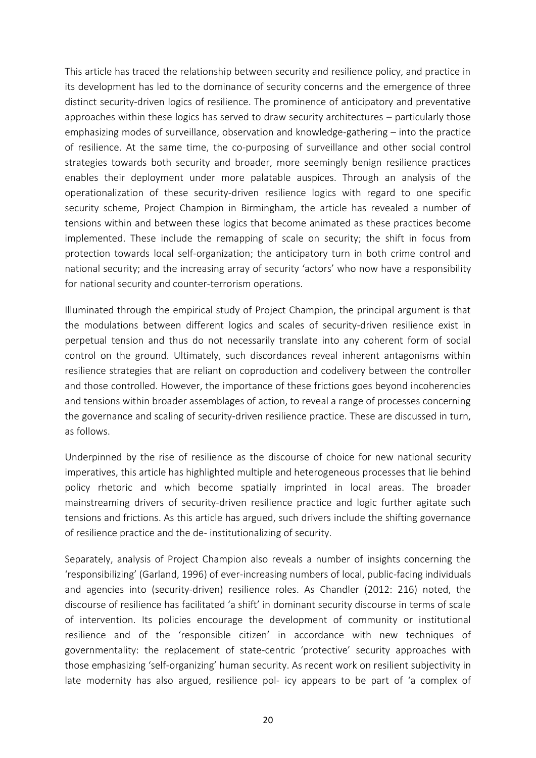This article has traced the relationship between security and resilience policy, and practice in its development has led to the dominance of security concerns and the emergence of three distinct security-driven logics of resilience. The prominence of anticipatory and preventative approaches within these logics has served to draw security architectures – particularly those emphasizing modes of surveillance, observation and knowledge-gathering – into the practice of resilience. At the same time, the co-purposing of surveillance and other social control strategies towards both security and broader, more seemingly benign resilience practices enables their deployment under more palatable auspices. Through an analysis of the operationalization of these security-driven resilience logics with regard to one specific security scheme, Project Champion in Birmingham, the article has revealed a number of tensions within and between these logics that become animated as these practices become implemented. These include the remapping of scale on security; the shift in focus from protection towards local self-organization; the anticipatory turn in both crime control and national security; and the increasing array of security 'actors' who now have a responsibility for national security and counter-terrorism operations.

Illuminated through the empirical study of Project Champion, the principal argument is that the modulations between different logics and scales of security-driven resilience exist in perpetual tension and thus do not necessarily translate into any coherent form of social control on the ground. Ultimately, such discordances reveal inherent antagonisms within resilience strategies that are reliant on coproduction and codelivery between the controller and those controlled. However, the importance of these frictions goes beyond incoherencies and tensions within broader assemblages of action, to reveal a range of processes concerning the governance and scaling of security-driven resilience practice. These are discussed in turn, as follows.

Underpinned by the rise of resilience as the discourse of choice for new national security imperatives, this article has highlighted multiple and heterogeneous processes that lie behind policy rhetoric and which become spatially imprinted in local areas. The broader mainstreaming drivers of security-driven resilience practice and logic further agitate such tensions and frictions. As this article has argued, such drivers include the shifting governance of resilience practice and the de- institutionalizing of security.

Separately, analysis of Project Champion also reveals a number of insights concerning the 'responsibilizing' (Garland, 1996) of ever-increasing numbers of local, public-facing individuals and agencies into (security-driven) resilience roles. As Chandler (2012: 216) noted, the discourse of resilience has facilitated 'a shift' in dominant security discourse in terms of scale of intervention. Its policies encourage the development of community or institutional resilience and of the 'responsible citizen' in accordance with new techniques of governmentality: the replacement of state-centric 'protective' security approaches with those emphasizing 'self-organizing' human security. As recent work on resilient subjectivity in late modernity has also argued, resilience pol- icy appears to be part of 'a complex of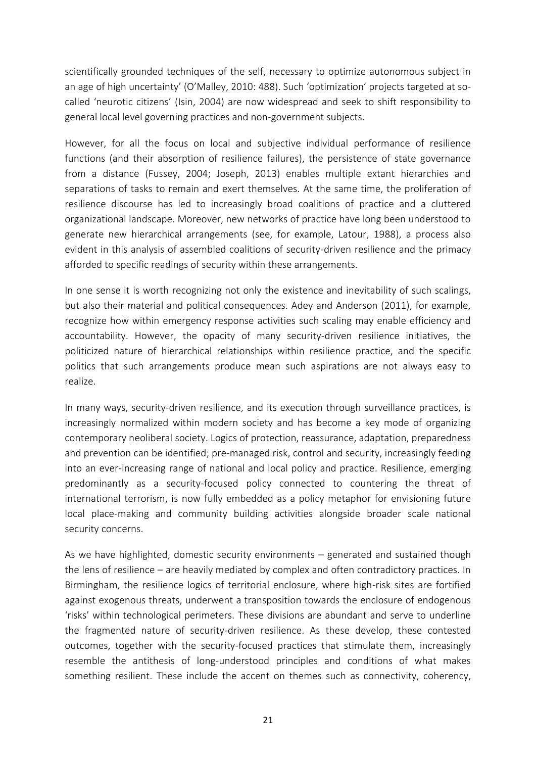scientifically grounded techniques of the self, necessary to optimize autonomous subject in an age of high uncertainty' (O'Malley, 2010: 488). Such 'optimization' projects targeted at socalled 'neurotic citizens' (Isin, 2004) are now widespread and seek to shift responsibility to general local level governing practices and non-government subjects.

However, for all the focus on local and subjective individual performance of resilience functions (and their absorption of resilience failures), the persistence of state governance from a distance (Fussey, 2004; Joseph, 2013) enables multiple extant hierarchies and separations of tasks to remain and exert themselves. At the same time, the proliferation of resilience discourse has led to increasingly broad coalitions of practice and a cluttered organizational landscape. Moreover, new networks of practice have long been understood to generate new hierarchical arrangements (see, for example, Latour, 1988), a process also evident in this analysis of assembled coalitions of security-driven resilience and the primacy afforded to specific readings of security within these arrangements.

In one sense it is worth recognizing not only the existence and inevitability of such scalings, but also their material and political consequences. Adey and Anderson (2011), for example, recognize how within emergency response activities such scaling may enable efficiency and accountability. However, the opacity of many security-driven resilience initiatives, the politicized nature of hierarchical relationships within resilience practice, and the specific politics that such arrangements produce mean such aspirations are not always easy to realize.

In many ways, security-driven resilience, and its execution through surveillance practices, is increasingly normalized within modern society and has become a key mode of organizing contemporary neoliberal society. Logics of protection, reassurance, adaptation, preparedness and prevention can be identified; pre-managed risk, control and security, increasingly feeding into an ever-increasing range of national and local policy and practice. Resilience, emerging predominantly as a security-focused policy connected to countering the threat of international terrorism, is now fully embedded as a policy metaphor for envisioning future local place-making and community building activities alongside broader scale national security concerns.

As we have highlighted, domestic security environments – generated and sustained though the lens of resilience – are heavily mediated by complex and often contradictory practices. In Birmingham, the resilience logics of territorial enclosure, where high-risk sites are fortified against exogenous threats, underwent a transposition towards the enclosure of endogenous 'risks' within technological perimeters. These divisions are abundant and serve to underline the fragmented nature of security-driven resilience. As these develop, these contested outcomes, together with the security-focused practices that stimulate them, increasingly resemble the antithesis of long-understood principles and conditions of what makes something resilient. These include the accent on themes such as connectivity, coherency,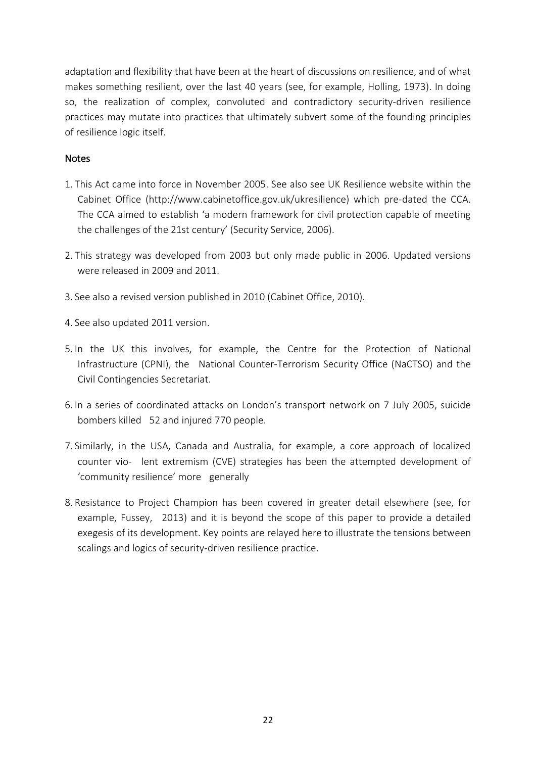adaptation and flexibility that have been at the heart of discussions on resilience, and of what makes something resilient, over the last 40 years (see, for example, Holling, 1973). In doing so, the realization of complex, convoluted and contradictory security-driven resilience practices may mutate into practices that ultimately subvert some of the founding principles of resilience logic itself.

## **Notes**

- 1. This Act came into force in November 2005. See also see UK Resilience website within the Cabinet Office (http://www.cabinetoffice.gov.uk/ukresilience) which pre-dated the CCA. The CCA aimed to establish 'a modern framework for civil protection capable of meeting the challenges of the 21st century' (Security Service, 2006).
- 2. This strategy was developed from 2003 but only made public in 2006. Updated versions were released in 2009 and 2011.
- 3. See also a revised version published in 2010 (Cabinet Office, 2010).
- 4. See also updated 2011 version.
- 5. In the UK this involves, for example, the Centre for the Protection of National Infrastructure (CPNI), the National Counter-Terrorism Security Office (NaCTSO) and the Civil Contingencies Secretariat.
- 6. In a series of coordinated attacks on London's transport network on 7 July 2005, suicide bombers killed 52 and injured 770 people.
- 7. Similarly, in the USA, Canada and Australia, for example, a core approach of localized counter vio- lent extremism (CVE) strategies has been the attempted development of 'community resilience' more generally
- 8. Resistance to Project Champion has been covered in greater detail elsewhere (see, for example, Fussey, 2013) and it is beyond the scope of this paper to provide a detailed exegesis of its development. Key points are relayed here to illustrate the tensions between scalings and logics of security-driven resilience practice.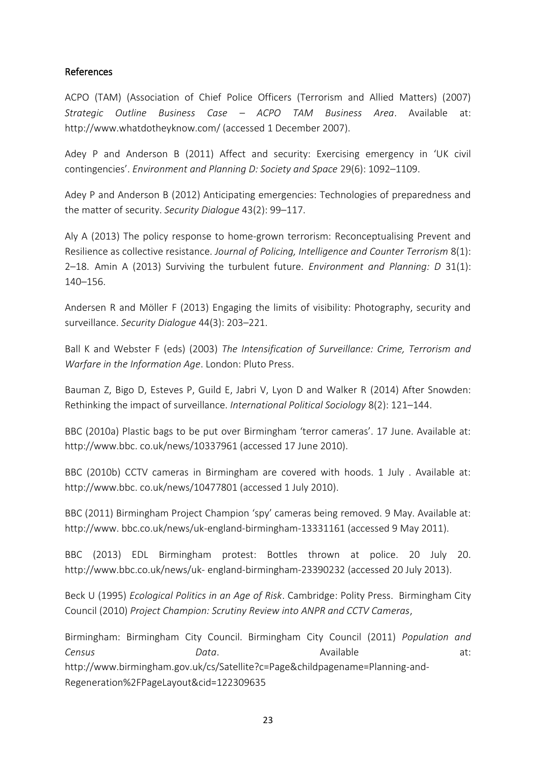## References

ACPO (TAM) (Association of Chief Police Officers (Terrorism and Allied Matters) (2007) *Strategic Outline Business Case – ACPO TAM Business Area*. Available at: http://www.whatdotheyknow.com/ (accessed 1 December 2007).

Adey P and Anderson B (2011) Affect and security: Exercising emergency in 'UK civil contingencies'. *Environment and Planning D: Society and Space* 29(6): 1092–1109.

Adey P and Anderson B (2012) Anticipating emergencies: Technologies of preparedness and the matter of security. *Security Dialogue* 43(2): 99–117.

Aly A (2013) The policy response to home-grown terrorism: Reconceptualising Prevent and Resilience as collective resistance. *Journal of Policing, Intelligence and Counter Terrorism* 8(1): 2–18. Amin A (2013) Surviving the turbulent future. *Environment and Planning: D* 31(1): 140–156.

Andersen R and Möller F (2013) Engaging the limits of visibility: Photography, security and surveillance. *Security Dialogue* 44(3): 203–221.

Ball K and Webster F (eds) (2003) *The Intensification of Surveillance: Crime, Terrorism and Warfare in the Information Age*. London: Pluto Press.

Bauman Z, Bigo D, Esteves P, Guild E, Jabri V, Lyon D and Walker R (2014) After Snowden: Rethinking the impact of surveillance. *International Political Sociology* 8(2): 121–144.

BBC (2010a) Plastic bags to be put over Birmingham 'terror cameras'. 17 June. Available at: http://www.bbc. co.uk/news/10337961 (accessed 17 June 2010).

BBC (2010b) CCTV cameras in Birmingham are covered with hoods. 1 July . Available at: http://www.bbc. co.uk/news/10477801 (accessed 1 July 2010).

BBC (2011) Birmingham Project Champion 'spy' cameras being removed. 9 May. Available at: http://www. bbc.co.uk/news/uk-england-birmingham-13331161 (accessed 9 May 2011).

BBC (2013) EDL Birmingham protest: Bottles thrown at police. 20 July 20. http://www.bbc.co.uk/news/uk- england-birmingham-23390232 (accessed 20 July 2013).

Beck U (1995) *Ecological Politics in an Age of Risk*. Cambridge: Polity Press. Birmingham City Council (2010) *Project Champion: Scrutiny Review into ANPR and CCTV Cameras*,

Birmingham: Birmingham City Council. Birmingham City Council (2011) *Population and*  **Census Consumers Consumers** Data. Available at: http://www.birmingham.gov.uk/cs/Satellite?c=Page&childpagename=Planning-and-Regeneration%2FPageLayout&cid=122309635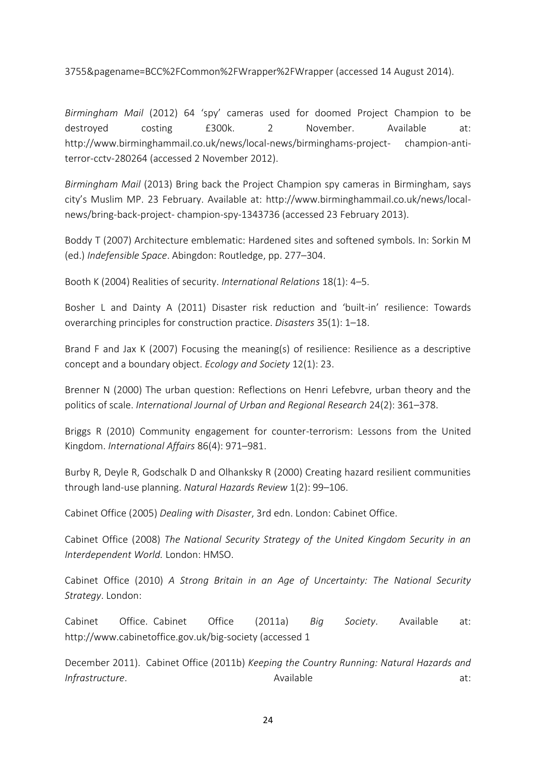3755&pagename=BCC%2FCommon%2FWrapper%2FWrapper (accessed 14 August 2014).

*Birmingham Mail* (2012) 64 'spy' cameras used for doomed Project Champion to be destroyed costing £300k. 2 November. Available at: http://www.birminghammail.co.uk/news/local-news/birminghams-project- champion-antiterror-cctv-280264 (accessed 2 November 2012).

*Birmingham Mail* (2013) Bring back the Project Champion spy cameras in Birmingham, says city's Muslim MP. 23 February. Available at: http://www.birminghammail.co.uk/news/localnews/bring-back-project- champion-spy-1343736 (accessed 23 February 2013).

Boddy T (2007) Architecture emblematic: Hardened sites and softened symbols. In: Sorkin M (ed.) *Indefensible Space*. Abingdon: Routledge, pp. 277–304.

Booth K (2004) Realities of security. *International Relations* 18(1): 4–5.

Bosher L and Dainty A (2011) Disaster risk reduction and 'built-in' resilience: Towards overarching principles for construction practice. *Disasters* 35(1): 1–18.

Brand F and Jax K (2007) Focusing the meaning(s) of resilience: Resilience as a descriptive concept and a boundary object. *Ecology and Society* 12(1): 23.

Brenner N (2000) The urban question: Reflections on Henri Lefebvre, urban theory and the politics of scale. *International Journal of Urban and Regional Research* 24(2): 361–378.

Briggs R (2010) Community engagement for counter-terrorism: Lessons from the United Kingdom. *International Affairs* 86(4): 971–981.

Burby R, Deyle R, Godschalk D and Olhanksky R (2000) Creating hazard resilient communities through land-use planning. *Natural Hazards Review* 1(2): 99–106.

Cabinet Office (2005) *Dealing with Disaster*, 3rd edn. London: Cabinet Office.

Cabinet Office (2008) *The National Security Strategy of the United Kingdom Security in an Interdependent World.* London: HMSO.

Cabinet Office (2010) *A Strong Britain in an Age of Uncertainty: The National Security Strategy*. London:

Cabinet Office. Cabinet Office (2011a) *Big Society*. Available at: http://www.cabinetoffice.gov.uk/big-society (accessed 1

December 2011). Cabinet Office (2011b) *Keeping the Country Running: Natural Hazards and Infrastructure*. and the contract at: Available at: Available at: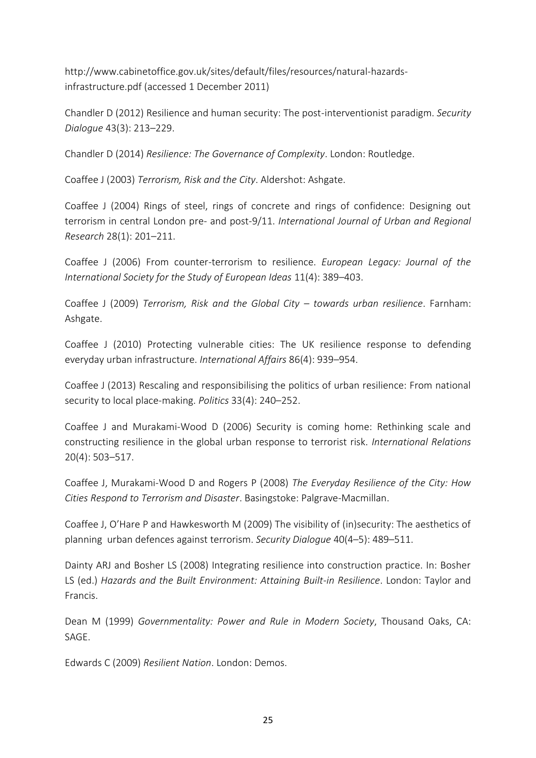http://www.cabinetoffice.gov.uk/sites/default/files/resources/natural-hazardsinfrastructure.pdf (accessed 1 December 2011)

Chandler D (2012) Resilience and human security: The post-interventionist paradigm. *Security Dialogue* 43(3): 213–229.

Chandler D (2014) *Resilience: The Governance of Complexity*. London: Routledge.

Coaffee J (2003) *Terrorism, Risk and the City*. Aldershot: Ashgate.

Coaffee J (2004) Rings of steel, rings of concrete and rings of confidence: Designing out terrorism in central London pre- and post-9/11. *International Journal of Urban and Regional Research* 28(1): 201–211.

Coaffee J (2006) From counter-terrorism to resilience. *European Legacy: Journal of the International Society for the Study of European Ideas* 11(4): 389–403.

Coaffee J (2009) *Terrorism, Risk and the Global City – towards urban resilience*. Farnham: Ashgate.

Coaffee J (2010) Protecting vulnerable cities: The UK resilience response to defending everyday urban infrastructure. *International Affairs* 86(4): 939–954.

Coaffee J (2013) Rescaling and responsibilising the politics of urban resilience: From national security to local place-making. *Politics* 33(4): 240–252.

Coaffee J and Murakami-Wood D (2006) Security is coming home: Rethinking scale and constructing resilience in the global urban response to terrorist risk. *International Relations*  20(4): 503–517.

Coaffee J, Murakami-Wood D and Rogers P (2008) *The Everyday Resilience of the City: How Cities Respond to Terrorism and Disaster*. Basingstoke: Palgrave-Macmillan.

Coaffee J, O'Hare P and Hawkesworth M (2009) The visibility of (in)security: The aesthetics of planning urban defences against terrorism. *Security Dialogue* 40(4–5): 489–511.

Dainty ARJ and Bosher LS (2008) Integrating resilience into construction practice. In: Bosher LS (ed.) *Hazards and the Built Environment: Attaining Built-in Resilience*. London: Taylor and Francis.

Dean M (1999) *Governmentality: Power and Rule in Modern Society*, Thousand Oaks, CA: SAGE.

Edwards C (2009) *Resilient Nation*. London: Demos.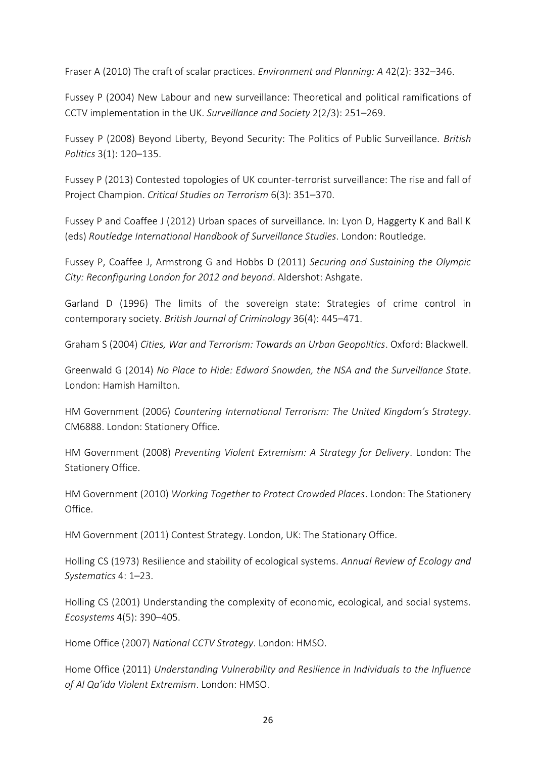Fraser A (2010) The craft of scalar practices. *Environment and Planning: A* 42(2): 332–346.

Fussey P (2004) New Labour and new surveillance: Theoretical and political ramifications of CCTV implementation in the UK. *Surveillance and Society* 2(2/3): 251–269.

Fussey P (2008) Beyond Liberty, Beyond Security: The Politics of Public Surveillance. *British Politics* 3(1): 120–135.

Fussey P (2013) Contested topologies of UK counter-terrorist surveillance: The rise and fall of Project Champion. *Critical Studies on Terrorism* 6(3): 351–370.

Fussey P and Coaffee J (2012) Urban spaces of surveillance. In: Lyon D, Haggerty K and Ball K (eds) *Routledge International Handbook of Surveillance Studies*. London: Routledge.

Fussey P, Coaffee J, Armstrong G and Hobbs D (2011) *Securing and Sustaining the Olympic City: Reconfiguring London for 2012 and beyond*. Aldershot: Ashgate.

Garland D (1996) The limits of the sovereign state: Strategies of crime control in contemporary society. *British Journal of Criminology* 36(4): 445–471.

Graham S (2004) *Cities, War and Terrorism: Towards an Urban Geopolitics*. Oxford: Blackwell.

Greenwald G (2014) *No Place to Hide: Edward Snowden, the NSA and the Surveillance State*. London: Hamish Hamilton.

HM Government (2006) *Countering International Terrorism: The United Kingdom's Strategy*. CM6888. London: Stationery Office.

HM Government (2008) *Preventing Violent Extremism: A Strategy for Delivery*. London: The Stationery Office.

HM Government (2010) *Working Together to Protect Crowded Places*. London: The Stationery Office.

HM Government (2011) Contest Strategy. London, UK: The Stationary Office.

Holling CS (1973) Resilience and stability of ecological systems. *Annual Review of Ecology and Systematics* 4: 1–23.

Holling CS (2001) Understanding the complexity of economic, ecological, and social systems. *Ecosystems* 4(5): 390–405.

Home Office (2007) *National CCTV Strategy*. London: HMSO.

Home Office (2011) *Understanding Vulnerability and Resilience in Individuals to the Influence of Al Qa'ida Violent Extremism*. London: HMSO.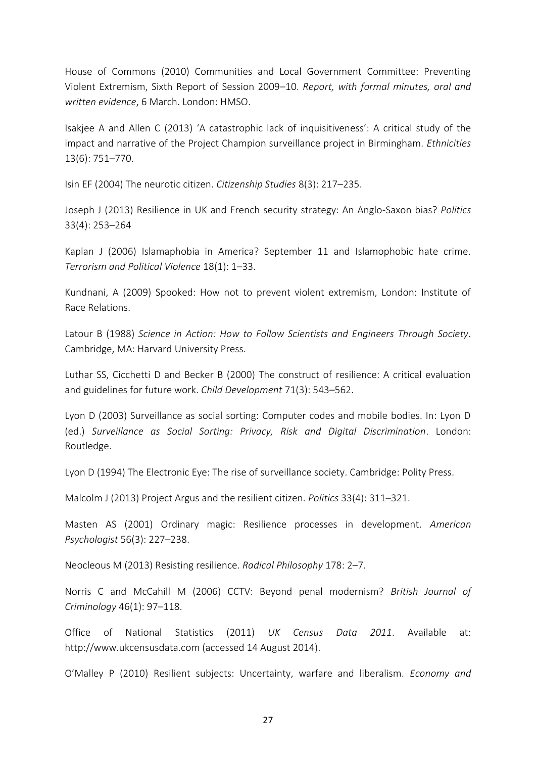House of Commons (2010) Communities and Local Government Committee: Preventing Violent Extremism, Sixth Report of Session 2009–10. *Report, with formal minutes, oral and written evidence*, 6 March. London: HMSO.

Isakjee A and Allen C (2013) 'A catastrophic lack of inquisitiveness': A critical study of the impact and narrative of the Project Champion surveillance project in Birmingham. *Ethnicities*  13(6): 751–770.

Isin EF (2004) The neurotic citizen. *Citizenship Studies* 8(3): 217–235.

Joseph J (2013) Resilience in UK and French security strategy: An Anglo-Saxon bias? *Politics*  33(4): 253–264

Kaplan J (2006) Islamaphobia in America? September 11 and Islamophobic hate crime. *Terrorism and Political Violence* 18(1): 1–33.

Kundnani, A (2009) Spooked: How not to prevent violent extremism, London: Institute of Race Relations.

Latour B (1988) *Science in Action: How to Follow Scientists and Engineers Through Society*. Cambridge, MA: Harvard University Press.

Luthar SS, Cicchetti D and Becker B (2000) The construct of resilience: A critical evaluation and guidelines for future work. *Child Development* 71(3): 543–562.

Lyon D (2003) Surveillance as social sorting: Computer codes and mobile bodies. In: Lyon D (ed.) *Surveillance as Social Sorting: Privacy, Risk and Digital Discrimination*. London: Routledge.

Lyon D (1994) The Electronic Eye: The rise of surveillance society. Cambridge: Polity Press.

Malcolm J (2013) Project Argus and the resilient citizen. *Politics* 33(4): 311–321.

Masten AS (2001) Ordinary magic: Resilience processes in development. *American Psychologist* 56(3): 227–238.

Neocleous M (2013) Resisting resilience. *Radical Philosophy* 178: 2–7.

Norris C and McCahill M (2006) CCTV: Beyond penal modernism? *British Journal of Criminology* 46(1): 97–118.

Office of National Statistics (2011) *UK Census Data 2011*. Available at: http://www.ukcensusdata.com (accessed 14 August 2014).

O'Malley P (2010) Resilient subjects: Uncertainty, warfare and liberalism. *Economy and*